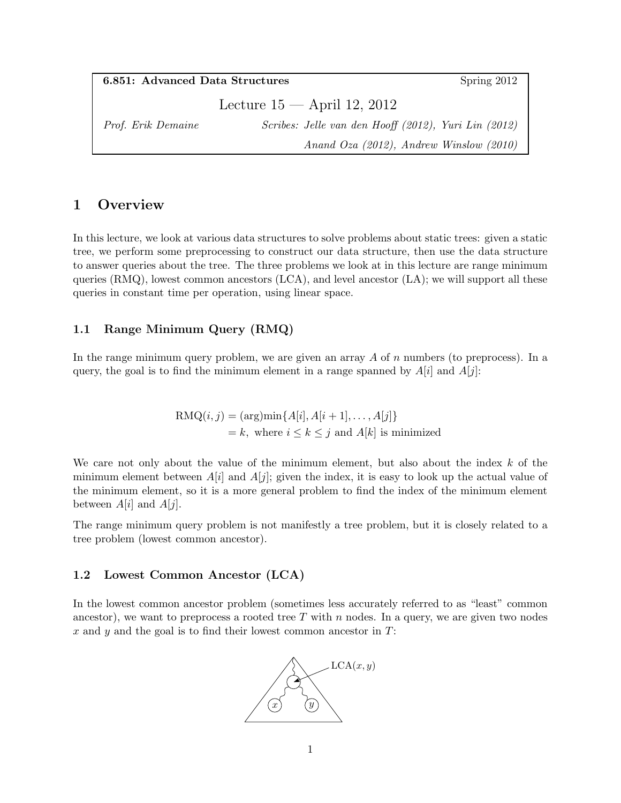| <b>6.851:</b> Advanced Data Structures |                                                      | Spring 2012                                  |
|----------------------------------------|------------------------------------------------------|----------------------------------------------|
|                                        | Lecture $15$ — April 12, 2012                        |                                              |
| <i>Prof. Erik Demaine</i>              | Scribes: Jelle van den Hooff (2012), Yuri Lin (2012) |                                              |
|                                        |                                                      | Anand Oza $(2012)$ , Andrew Winslow $(2010)$ |

## 1 Overview

In this lecture, we look at various data structures to solve problems about static trees: given a static tree, we perform some preprocessing to construct our data structure, then use the data structure to answer queries about the tree. The three problems we look at in this lecture are range minimum queries  $(RMQ)$ , lowest common ancestors  $(LCA)$ , and level ancestor  $(LA)$ ; we will support all these queries in constant time per operation, using linear space.

## 1.1 Range Minimum Query (RMQ)

In the range minimum query problem, we are given an array  $A$  of  $n$  numbers (to preprocess). In a query, the goal is to find the minimum element in a range spanned by  $A[i]$  and  $A[j]$ :

> $RMQ(i, j) = (arg)min{A[i], A[i + 1], \ldots, A[j]}$  $= k$ , where  $i \leq k \leq j$  and  $A[k]$  is minimized

We care not only about the value of the minimum element, but also about the index  $k$  of the minimum element between  $A[i]$  and  $A[j]$ ; given the index, it is easy to look up the actual value of the minimum element, so it is a more general problem to find the index of the minimum element between  $A[i]$  and  $A[j]$ .

The range minimum query problem is not manifestly a tree problem, but it is closely related to a tree problem (lowest common ancestor).

#### 1.2 Lowest Common Ancestor (LCA)

In the lowest common ancestor problem (sometimes less accurately referred to as "least" common ancestor), we want to preprocess a rooted tree  $T$  with n nodes. In a query, we are given two nodes x and y and the goal is to find their lowest common ancestor in  $T$ :

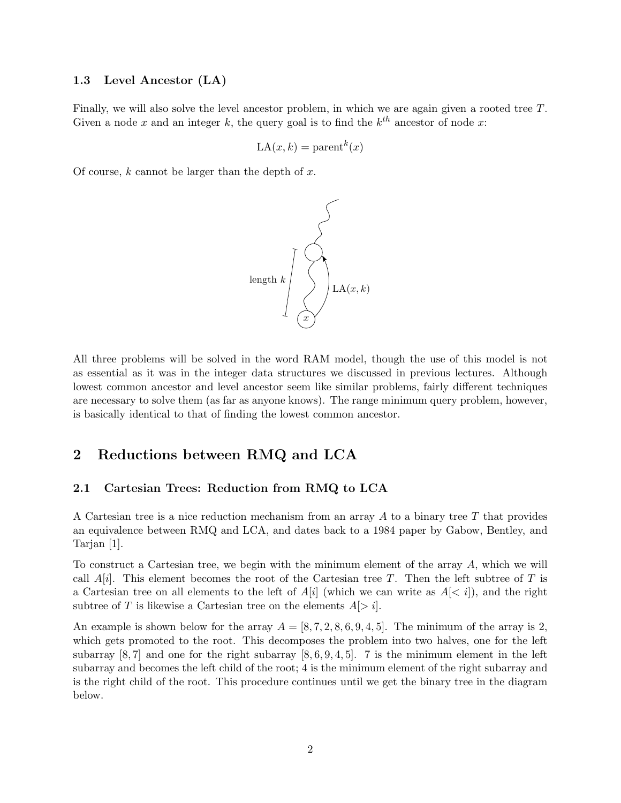#### 1.3 Level Ancestor (LA)

Finally, we will also solve the level ancestor problem, in which we are again given a rooted tree T. Given a node x and an integer k, the query goal is to find the  $k^{th}$  ancestor of node x:

$$
LA(x, k) = parent^{k}(x)
$$

Of course,  $k$  cannot be larger than the depth of  $x$ .



All three problems will be solved in the word RAM model, though the use of this model is not as essential as it was in the integer data structures we discussed in previous lectures. Although lowest common ancestor and level ancestor seem like similar problems, fairly different techniques are necessary to solve them (as far as anyone knows). The range minimum query problem, however, is basically identical to that of finding the lowest common ancestor.

## 2 Reductions between RMQ and LCA

#### 2.1 Cartesian Trees: Reduction from RMQ to LCA

A Cartesian tree is a nice reduction mechanism from an array  $A$  to a binary tree  $T$  that provides an equivalence between RMQ and LCA, and dates back to a 1984 paper by Gabow, Bentley, and Tarjan [1].

To construct a Cartesian tree, we begin with the minimum element of the array A, which we will call  $A[i]$ . This element becomes the root of the Cartesian tree T. Then the left subtree of T is a Cartesian tree on all elements to the left of  $A[i]$  (which we can write as  $A[&i]$ ), and the right subtree of T is likewise a Cartesian tree on the elements  $A > i$ .

An example is shown below for the array  $A = [8, 7, 2, 8, 6, 9, 4, 5]$ . The minimum of the array is 2, which gets promoted to the root. This decomposes the problem into two halves, one for the left subarray  $[8, 7]$  and one for the right subarray  $[8, 6, 9, 4, 5]$ . 7 is the minimum element in the left subarray and becomes the left child of the root; 4 is the minimum element of the right subarray and is the right child of the root. This procedure continues until we get the binary tree in the diagram below.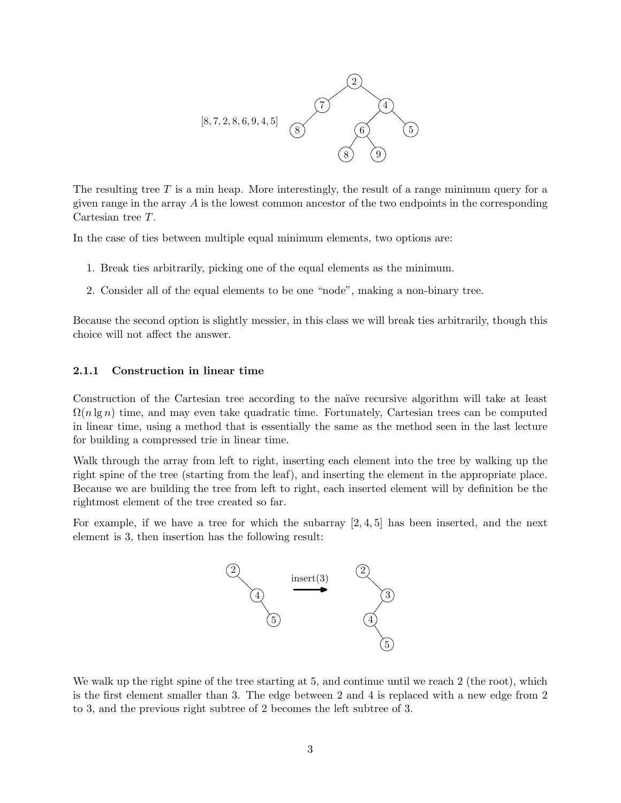

The resulting tree  $T$  is a min heap. More interestingly, the result of a range minimum query for a given range in the array  $A$  is the lowest common ancestor of the two endpoints in the corresponding Cartesian tree T.

In the case of ties between multiple equal minimum elements, two options are:

- 1. Break ties arbitrarily, picking one of the equal elements as the minimum.
- 2. Consider all of the equal elements to be one "node", making a non-binary tree.

Because the second option is slightly messier, in this class we will break ties arbitrarily, though this choice will not affect the answer.

#### 2.1.1 Construction in linear time

Construction of the Cartesian tree according to the naïve recursive algorithm will take at least  $\Omega(n \lg n)$  time, and may even take quadratic time. Fortunately, Cartesian trees can be computed in linear time, using a method that is essentially the same as the method seen in the last lecture for building a compressed trie in linear time.

Walk through the array from left to right, inserting each element into the tree by walking up the right spine of the tree (starting from the leaf), and inserting the element in the appropriate place. Because we are building the tree from left to right, each inserted element will by definition be the rightmost element of the tree created so far.

For example, if we have a tree for which the subarray  $[2, 4, 5]$  has been inserted, and the next element is 3, then insertion has the following result:



We walk up the right spine of the tree starting at 5, and continue until we reach 2 (the root), which is the first element smaller than 3. The edge between 2 and 4 is replaced with a new edge from 2 to 3, and the previous right subtree of 2 becomes the left subtree of 3.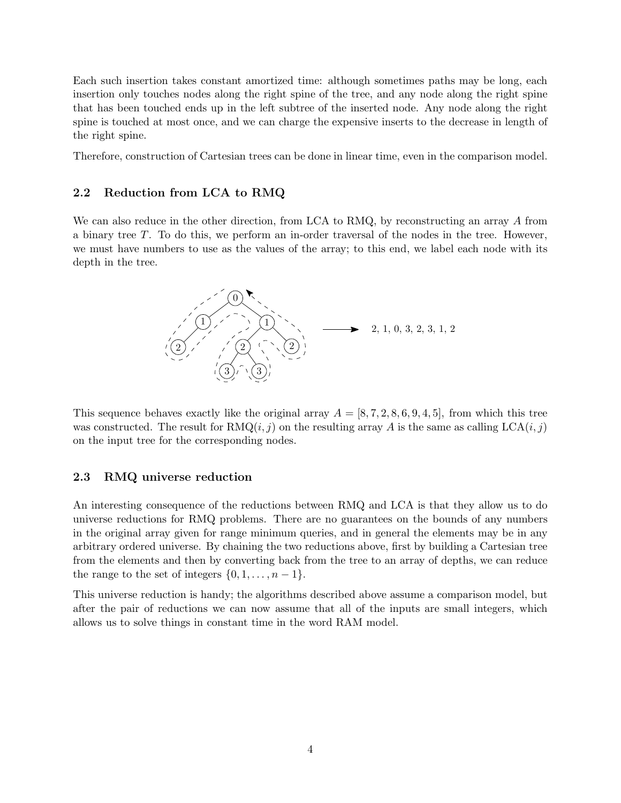Each such insertion takes constant amortized time: although sometimes paths may be long, each insertion only touches nodes along the right spine of the tree, and any node along the right spine that has been touched ends up in the left subtree of the inserted node. Any node along the right spine is touched at most once, and we can charge the expensive inserts to the decrease in length of the right spine.

Therefore, construction of Cartesian trees can be done in linear time, even in the comparison model.

#### 2.2 Reduction from LCA to RMQ

We can also reduce in the other direction, from LCA to RMQ, by reconstructing an array A from a binary tree T. To do this, we perform an in-order traversal of the nodes in the tree. However, we must have numbers to use as the values of the array; to this end, we label each node with its depth in the tree.



This sequence behaves exactly like the original array  $A = [8, 7, 2, 8, 6, 9, 4, 5]$ , from which this tree was constructed. The result for  $\text{RMQ}(i, j)$  on the resulting array A is the same as calling  $\text{LCA}(i, j)$ on the input tree for the corresponding nodes.

#### 2.3 RMQ universe reduction

An interesting consequence of the reductions between RMQ and LCA is that they allow us to do universe reductions for RMQ problems. There are no guarantees on the bounds of any numbers in the original array given for range minimum queries, and in general the elements may be in any arbitrary ordered universe. By chaining the two reductions above, first by building a Cartesian tree from the elements and then by converting back from the tree to an array of depths, we can reduce the range to the set of integers  $\{0, 1, \ldots, n-1\}.$ 

This universe reduction is handy; the algorithms described above assume a comparison model, but after the pair of reductions we can now assume that all of the inputs are small integers, which allows us to solve things in constant time in the word RAM model.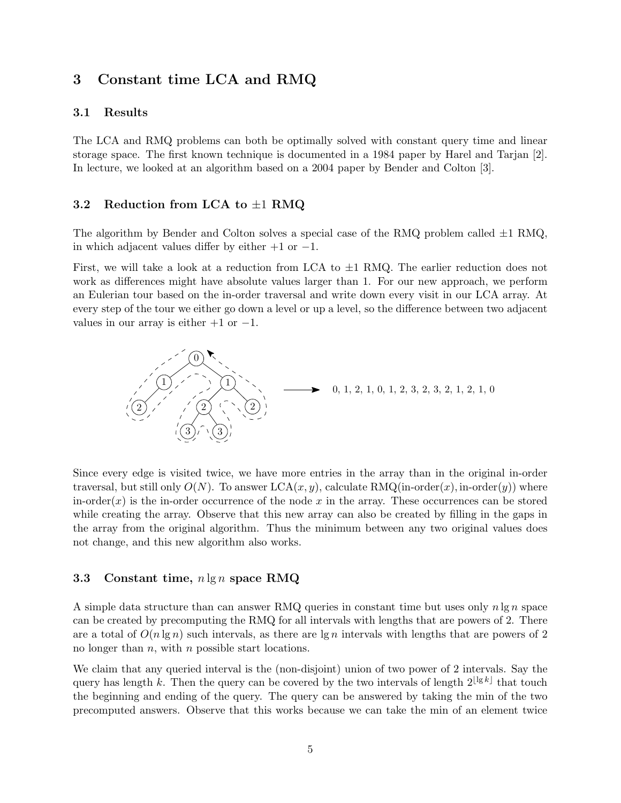## 3 Constant time LCA and RMQ

#### 3.1 Results

The LCA and RMQ problems can both be optimally solved with constant query time and linear storage space. The first known technique is documented in a 1984 paper by Harel and Tarjan [2]. In lecture, we looked at an algorithm based on a 2004 paper by Bender and Colton [3].

#### 3.2 Reduction from LCA to  $\pm 1$  RMQ

The algorithm by Bender and Colton solves a special case of the RMQ problem called  $\pm 1$  RMQ, in which adjacent values differ by either  $+1$  or  $-1$ .

First, we will take a look at a reduction from LCA to  $\pm 1$  RMQ. The earlier reduction does not work as differences might have absolute values larger than 1. For our new approach, we perform an Eulerian tour based on the in-order traversal and write down every visit in our LCA array. At every step of the tour we either go down a level or up a level, so the difference between two adjacent values in our array is either  $+1$  or  $-1$ .



Since every edge is visited twice, we have more entries in the array than in the original in-order traversal, but still only  $O(N)$ . To answer  $LCA(x, y)$ , calculate RMQ(in-order(x), in-order(y)) where in-order $(x)$  is the in-order occurrence of the node x in the array. These occurrences can be stored while creating the array. Observe that this new array can also be created by filling in the gaps in the array from the original algorithm. Thus the minimum between any two original values does not change, and this new algorithm also works.

#### 3.3 Constant time,  $n \lg n$  space RMQ

A simple data structure than can answer RMQ queries in constant time but uses only  $n \lg n$  space can be created by precomputing the RMQ for all intervals with lengths that are powers of 2. There are a total of  $O(n \lg n)$  such intervals, as there are  $\lg n$  intervals with lengths that are powers of 2 no longer than  $n$ , with  $n$  possible start locations.

We claim that any queried interval is the (non-disjoint) union of two power of 2 intervals. Say the query has length k. Then the query can be covered by the two intervals of length  $2^{\lfloor \lg k \rfloor}$  that touch the beginning and ending of the query. The query can be answered by taking the min of the two precomputed answers. Observe that this works because we can take the min of an element twice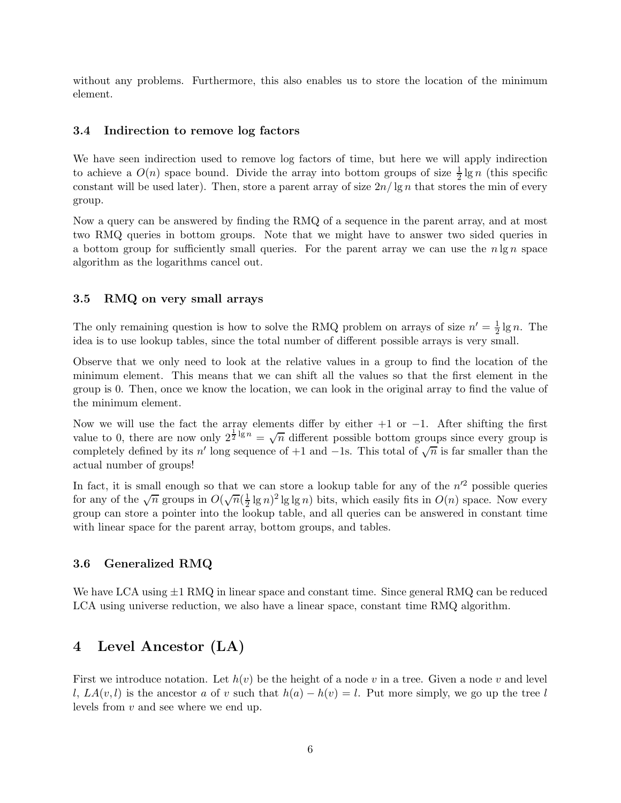without any problems. Furthermore, this also enables us to store the location of the minimum element.

#### 3.4 Indirection to remove log factors

We have seen indirection used to remove log factors of time, but here we will apply indirection to achieve a  $O(n)$  space bound. Divide the array into bottom groups of size  $\frac{1}{2} \lg n$  (this specific constant will be used later). Then, store a parent array of size  $2n/\lg n$  that stores the min of every group.

Now a query can be answered by finding the RMQ of a sequence in the parent array, and at most two RMQ queries in bottom groups. Note that we might have to answer two sided queries in a bottom group for sufficiently small queries. For the parent array we can use the  $n \lg n$  space algorithm as the logarithms cancel out.

#### 3.5 RMQ on very small arrays

The only remaining question is how to solve the RMQ problem on arrays of size  $n' = \frac{1}{2}$  $\frac{1}{2}$  lg *n*. The idea is to use lookup tables, since the total number of different possible arrays is very small.

Observe that we only need to look at the relative values in a group to find the location of the minimum element. This means that we can shift all the values so that the first element in the group is 0. Then, once we know the location, we can look in the original array to find the value of the minimum element.

Now we will use the fact the array elements differ by either  $+1$  or  $-1$ . After shifting the first value to 0, there are now only  $2^{\frac{1}{2} \lg n} = \sqrt{n}$  different possible bottom groups since every group is completely defined by its n' long sequence of +1 and -1s. This total of  $\sqrt{n}$  is far smaller than the actual number of groups!

In fact, it is small enough so that we can store a lookup table for any of the  $n^2$  possible queries for any of the  $\sqrt{n}$  groups in  $O(\sqrt{n})$  $\frac{1}{2}$  lg n)<sup>2</sup> lg lg n) bits, which easily fits in  $O(n)$  space. Now every group can store a pointer into the lookup table, and all queries can be answered in constant time with linear space for the parent array, bottom groups, and tables.

#### 3.6 Generalized RMQ

We have LCA using  $\pm 1$  RMQ in linear space and constant time. Since general RMQ can be reduced LCA using universe reduction, we also have a linear space, constant time RMQ algorithm.

## 4 Level Ancestor (LA)

First we introduce notation. Let  $h(v)$  be the height of a node v in a tree. Given a node v and level l,  $LA(v, l)$  is the ancestor a of v such that  $h(a) - h(v) = l$ . Put more simply, we go up the tree l levels from v and see where we end up.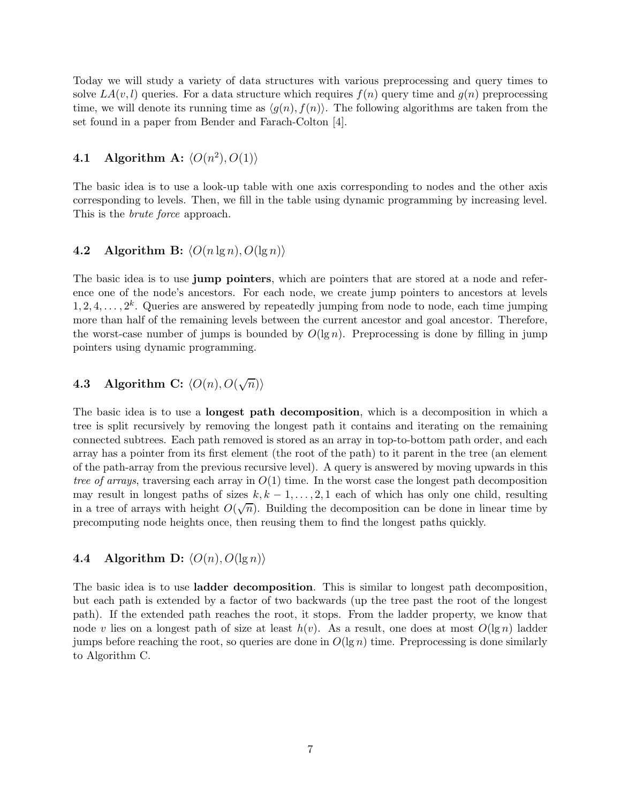Today we will study a variety of data structures with various preprocessing and query times to solve  $LA(v, l)$  queries. For a data structure which requires  $f(n)$  query time and  $g(n)$  preprocessing time, we will denote its running time as  $\langle g(n), f(n) \rangle$ . The following algorithms are taken from the set found in a paper from Bender and Farach-Colton [4].

## **4.1** Algorithm A:  $\langle O(n^2), O(1) \rangle$

The basic idea is to use a look-up table with one axis corresponding to nodes and the other axis corresponding to levels. Then, we fill in the table using dynamic programming by increasing level. This is the *brute force* approach.

#### 4.2 Algorithm B:  $\langle O(n \lg n), O(\lg n) \rangle$

The basic idea is to use **jump pointers**, which are pointers that are stored at a node and reference one of the node's ancestors. For each node, we create jump pointers to ancestors at levels  $1, 2, 4, \ldots, 2^k$ . Queries are answered by repeatedly jumping from node to node, each time jumping more than half of the remaining levels between the current ancestor and goal ancestor. Therefore, the worst-case number of jumps is bounded by  $O(\lg n)$ . Preprocessing is done by filling in jump pointers using dynamic programming.

# **4.3** Algorithm C:  $\langle O(n), O(\sqrt{n})\rangle$

The basic idea is to use a longest path decomposition, which is a decomposition in which a tree is split recursively by removing the longest path it contains and iterating on the remaining connected subtrees. Each path removed is stored as an array in top-to-bottom path order, and each array has a pointer from its first element (the root of the path) to it parent in the tree (an element of the path-array from the previous recursive level). A query is answered by moving upwards in this tree of arrays, traversing each array in  $O(1)$  time. In the worst case the longest path decomposition may result in longest paths of sizes  $k, k - 1, \ldots, 2, 1$  each of which has only one child, resulting in a tree of arrays with height  $O(\sqrt{n})$ . Building the decomposition can be done in linear time by precomputing node heights once, then reusing them to find the longest paths quickly.

#### 4.4 Algorithm D:  $\langle O(n), O(\lg n) \rangle$

The basic idea is to use ladder decomposition. This is similar to longest path decomposition, but each path is extended by a factor of two backwards (up the tree past the root of the longest path). If the extended path reaches the root, it stops. From the ladder property, we know that node v lies on a longest path of size at least  $h(v)$ . As a result, one does at most  $O(\lg n)$  ladder jumps before reaching the root, so queries are done in  $O(\lg n)$  time. Preprocessing is done similarly to Algorithm C.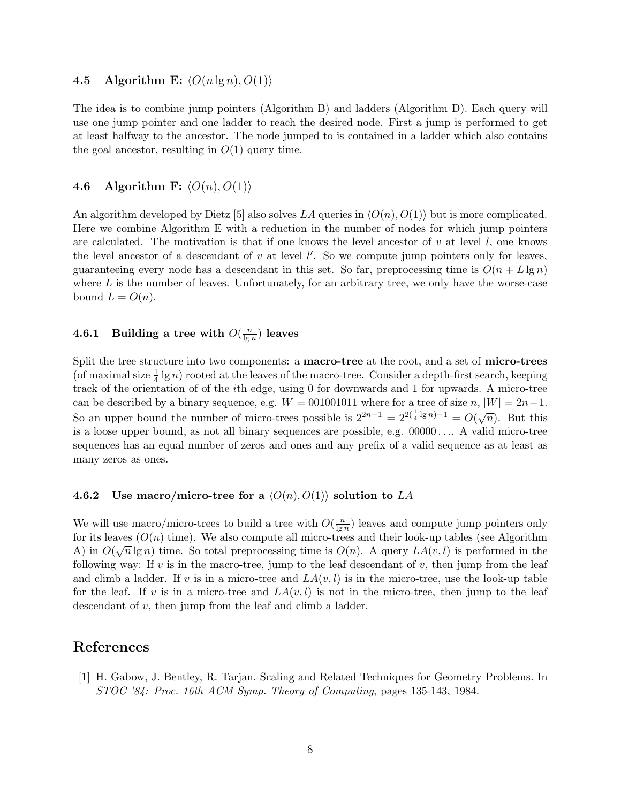#### 4.5 Algorithm E:  $\langle O(n \lg n), O(1) \rangle$

The idea is to combine jump pointers (Algorithm B) and ladders (Algorithm D). Each query will use one jump pointer and one ladder to reach the desired node. First a jump is performed to get at least halfway to the ancestor. The node jumped to is contained in a ladder which also contains the goal ancestor, resulting in  $O(1)$  query time.

#### 4.6 Algorithm F:  $\langle O(n), O(1) \rangle$

An algorithm developed by Dietz [5] also solves LA queries in  $\langle O(n), O(1) \rangle$  but is more complicated. Here we combine Algorithm E with a reduction in the number of nodes for which jump pointers are calculated. The motivation is that if one knows the level ancestor of  $v$  at level  $l$ , one knows the level ancestor of a descendant of  $v$  at level  $l'$ . So we compute jump pointers only for leaves, guaranteeing every node has a descendant in this set. So far, preprocessing time is  $O(n + L \lg n)$ where  $L$  is the number of leaves. Unfortunately, for an arbitrary tree, we only have the worse-case bound  $L = O(n)$ .

#### 4.6.1 Building a tree with  $O(\frac{n}{\log n})$  $\frac{n}{\lg n})$  leaves

Split the tree structure into two components: a macro-tree at the root, and a set of micro-trees (of maximal size  $\frac{1}{4} \lg n$ ) rooted at the leaves of the macro-tree. Consider a depth-first search, keeping track of the orientation of of the ith edge, using 0 for downwards and 1 for upwards. A micro-tree can be described by a binary sequence, e.g.  $W = 001001011$  where for a tree of size  $n, |W| = 2n-1$ . So an upper bound the number of micro-trees possible is  $2^{2n-1} = 2^{2(\frac{1}{4} \lg n)-1} = O(\sqrt{n})$ . But this is a loose upper bound, as not all binary sequences are possible, e.g. 00000 . . .. A valid micro-tree sequences has an equal number of zeros and ones and any prefix of a valid sequence as at least as many zeros as ones.

#### 4.6.2 Use macro/micro-tree for a  $\langle O(n), O(1)\rangle$  solution to LA

We will use macro/micro-trees to build a tree with  $O(\frac{n}{\log n})$  $\frac{n}{\lg n}$ ) leaves and compute jump pointers only for its leaves  $(O(n)$  time). We also compute all micro-trees and their look-up tables (see Algorithm A) in  $O(\sqrt{n}\lg n)$  time. So total preprocessing time is  $O(n)$ . A query  $LA(v, l)$  is performed in the following way: If v is in the macro-tree, jump to the leaf descendant of v, then jump from the leaf and climb a ladder. If v is in a micro-tree and  $LA(v, l)$  is in the micro-tree, use the look-up table for the leaf. If v is in a micro-tree and  $LA(v, l)$  is not in the micro-tree, then jump to the leaf descendant of v, then jump from the leaf and climb a ladder.

## References

[1] H. Gabow, J. Bentley, R. Tarjan. Scaling and Related Techniques for Geometry Problems. In STOC '84: Proc. 16th ACM Symp. Theory of Computing, pages 135-143, 1984.